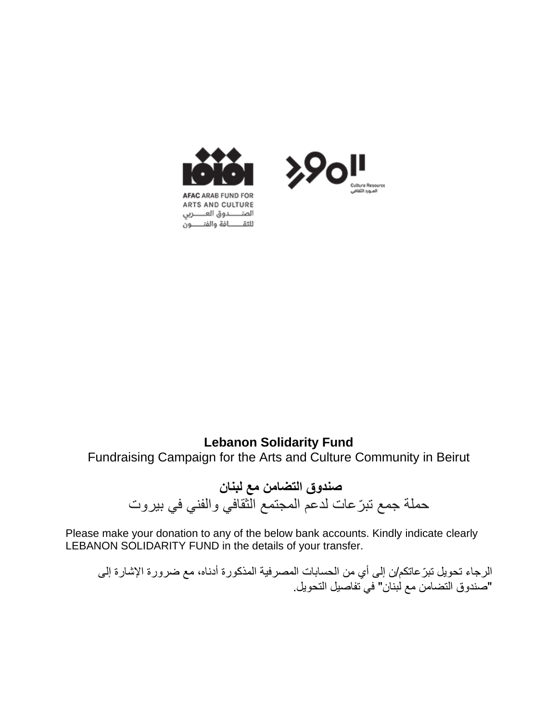



## **Lebanon Solidarity Fund** Fundraising Campaign for the Arts and Culture Community in Beirut

**صندوق التضامن مع لبنان**  حملة جمع تب ّرعات لدعم المجتمع الثقافي والفني في بيروت

Please make your donation to any of the below bank accounts. Kindly indicate clearly LEBANON SOLIDARITY FUND in the details of your transfer.

الرجاء تحويل تبرّ عاتكم/ن إلى أي من الحسابات المصرفية المذكورة أدناه، مع ضرورة الإشارة إلى "صندوق التضامن مع لبنان" في تفاصيل التحويل.